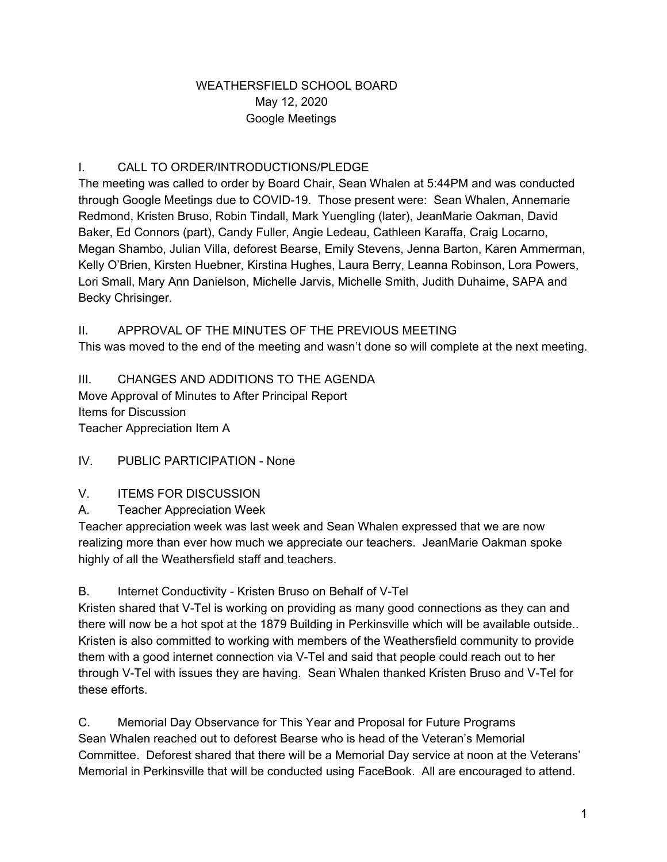### WEATHERSFIELD SCHOOL BOARD May 12, 2020 Google Meetings

## I. CALL TO ORDER/INTRODUCTIONS/PLEDGE

The meeting was called to order by Board Chair, Sean Whalen at 5:44PM and was conducted through Google Meetings due to COVID-19. Those present were: Sean Whalen, Annemarie Redmond, Kristen Bruso, Robin Tindall, Mark Yuengling (later), JeanMarie Oakman, David Baker, Ed Connors (part), Candy Fuller, Angie Ledeau, Cathleen Karaffa, Craig Locarno, Megan Shambo, Julian Villa, deforest Bearse, Emily Stevens, Jenna Barton, Karen Ammerman, Kelly O'Brien, Kirsten Huebner, Kirstina Hughes, Laura Berry, Leanna Robinson, Lora Powers, Lori Small, Mary Ann Danielson, Michelle Jarvis, Michelle Smith, Judith Duhaime, SAPA and Becky Chrisinger.

### II. APPROVAL OF THE MINUTES OF THE PREVIOUS MEETING

This was moved to the end of the meeting and wasn't done so will complete at the next meeting.

III. CHANGES AND ADDITIONS TO THE AGENDA Move Approval of Minutes to After Principal Report Items for Discussion Teacher Appreciation Item A

IV. PUBLIC PARTICIPATION - None

#### V. ITEMS FOR DISCUSSION

A. Teacher Appreciation Week

Teacher appreciation week was last week and Sean Whalen expressed that we are now realizing more than ever how much we appreciate our teachers. JeanMarie Oakman spoke highly of all the Weathersfield staff and teachers.

B. Internet Conductivity - Kristen Bruso on Behalf of V-Tel

Kristen shared that V-Tel is working on providing as many good connections as they can and there will now be a hot spot at the 1879 Building in Perkinsville which will be available outside.. Kristen is also committed to working with members of the Weathersfield community to provide them with a good internet connection via V-Tel and said that people could reach out to her through V-Tel with issues they are having. Sean Whalen thanked Kristen Bruso and V-Tel for these efforts.

C. Memorial Day Observance for This Year and Proposal for Future Programs Sean Whalen reached out to deforest Bearse who is head of the Veteran's Memorial Committee. Deforest shared that there will be a Memorial Day service at noon at the Veterans' Memorial in Perkinsville that will be conducted using FaceBook. All are encouraged to attend.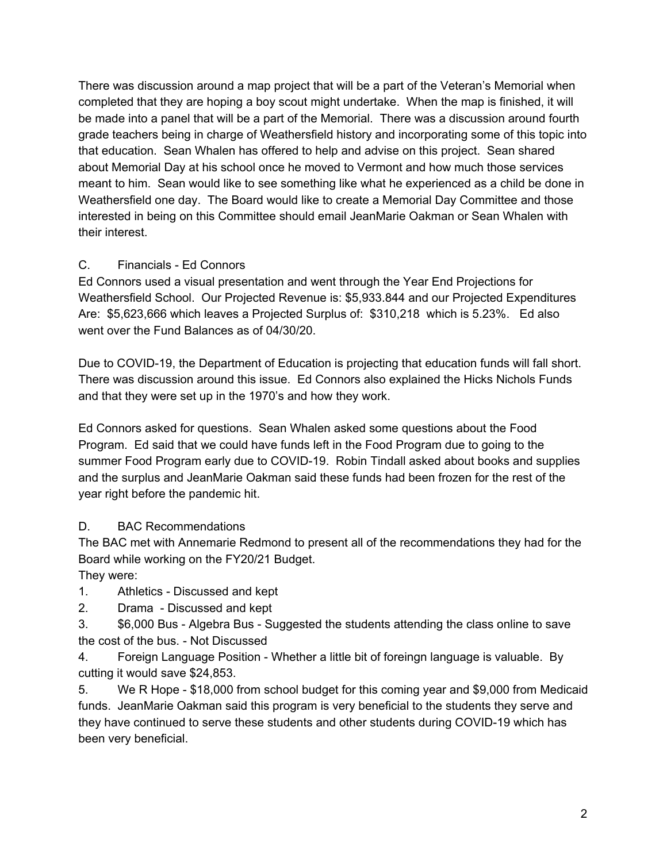There was discussion around a map project that will be a part of the Veteran's Memorial when completed that they are hoping a boy scout might undertake. When the map is finished, it will be made into a panel that will be a part of the Memorial. There was a discussion around fourth grade teachers being in charge of Weathersfield history and incorporating some of this topic into that education. Sean Whalen has offered to help and advise on this project. Sean shared about Memorial Day at his school once he moved to Vermont and how much those services meant to him. Sean would like to see something like what he experienced as a child be done in Weathersfield one day. The Board would like to create a Memorial Day Committee and those interested in being on this Committee should email JeanMarie Oakman or Sean Whalen with their interest.

## C. Financials - Ed Connors

Ed Connors used a visual presentation and went through the Year End Projections for Weathersfield School. Our Projected Revenue is: \$5,933.844 and our Projected Expenditures Are: \$5,623,666 which leaves a Projected Surplus of: \$310,218 which is 5.23%. Ed also went over the Fund Balances as of 04/30/20.

Due to COVID-19, the Department of Education is projecting that education funds will fall short. There was discussion around this issue. Ed Connors also explained the Hicks Nichols Funds and that they were set up in the 1970's and how they work.

Ed Connors asked for questions. Sean Whalen asked some questions about the Food Program. Ed said that we could have funds left in the Food Program due to going to the summer Food Program early due to COVID-19. Robin Tindall asked about books and supplies and the surplus and JeanMarie Oakman said these funds had been frozen for the rest of the year right before the pandemic hit.

# D. BAC Recommendations

The BAC met with Annemarie Redmond to present all of the recommendations they had for the Board while working on the FY20/21 Budget.

They were:

1. Athletics - Discussed and kept

2. Drama - Discussed and kept

3. \$6,000 Bus - Algebra Bus - Suggested the students attending the class online to save the cost of the bus. - Not Discussed

4. Foreign Language Position - Whether a little bit of foreingn language is valuable. By cutting it would save \$24,853.

5. We R Hope - \$18,000 from school budget for this coming year and \$9,000 from Medicaid funds. JeanMarie Oakman said this program is very beneficial to the students they serve and they have continued to serve these students and other students during COVID-19 which has been very beneficial.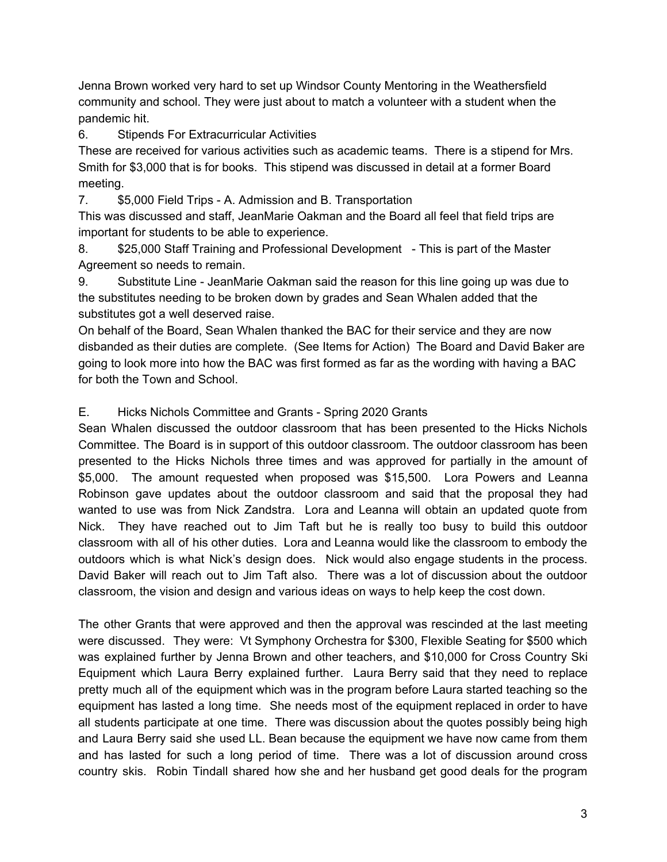Jenna Brown worked very hard to set up Windsor County Mentoring in the Weathersfield community and school. They were just about to match a volunteer with a student when the pandemic hit.

6. Stipends For Extracurricular Activities

These are received for various activities such as academic teams. There is a stipend for Mrs. Smith for \$3,000 that is for books. This stipend was discussed in detail at a former Board meeting.

7. \$5,000 Field Trips - A. Admission and B. Transportation

This was discussed and staff, JeanMarie Oakman and the Board all feel that field trips are important for students to be able to experience.

8. \$25,000 Staff Training and Professional Development - This is part of the Master Agreement so needs to remain.

9. Substitute Line - JeanMarie Oakman said the reason for this line going up was due to the substitutes needing to be broken down by grades and Sean Whalen added that the substitutes got a well deserved raise.

On behalf of the Board, Sean Whalen thanked the BAC for their service and they are now disbanded as their duties are complete. (See Items for Action) The Board and David Baker are going to look more into how the BAC was first formed as far as the wording with having a BAC for both the Town and School.

## E. Hicks Nichols Committee and Grants - Spring 2020 Grants

Sean Whalen discussed the outdoor classroom that has been presented to the Hicks Nichols Committee. The Board is in support of this outdoor classroom. The outdoor classroom has been presented to the Hicks Nichols three times and was approved for partially in the amount of \$5,000. The amount requested when proposed was \$15,500. Lora Powers and Leanna Robinson gave updates about the outdoor classroom and said that the proposal they had wanted to use was from Nick Zandstra. Lora and Leanna will obtain an updated quote from Nick. They have reached out to Jim Taft but he is really too busy to build this outdoor classroom with all of his other duties. Lora and Leanna would like the classroom to embody the outdoors which is what Nick's design does. Nick would also engage students in the process. David Baker will reach out to Jim Taft also. There was a lot of discussion about the outdoor classroom, the vision and design and various ideas on ways to help keep the cost down.

The other Grants that were approved and then the approval was rescinded at the last meeting were discussed. They were: Vt Symphony Orchestra for \$300, Flexible Seating for \$500 which was explained further by Jenna Brown and other teachers, and \$10,000 for Cross Country Ski Equipment which Laura Berry explained further. Laura Berry said that they need to replace pretty much all of the equipment which was in the program before Laura started teaching so the equipment has lasted a long time. She needs most of the equipment replaced in order to have all students participate at one time. There was discussion about the quotes possibly being high and Laura Berry said she used LL. Bean because the equipment we have now came from them and has lasted for such a long period of time. There was a lot of discussion around cross country skis. Robin Tindall shared how she and her husband get good deals for the program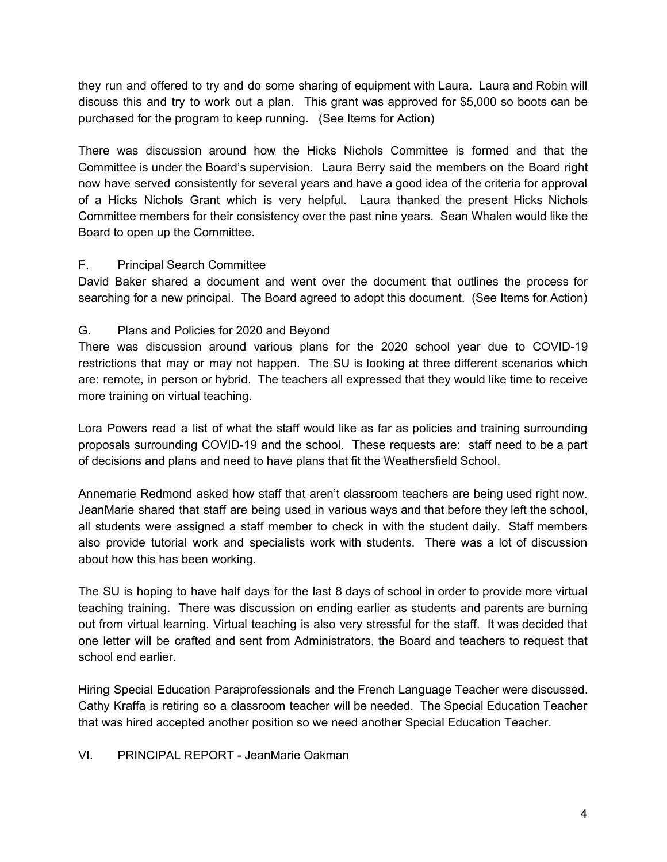they run and offered to try and do some sharing of equipment with Laura. Laura and Robin will discuss this and try to work out a plan. This grant was approved for \$5,000 so boots can be purchased for the program to keep running. (See Items for Action)

There was discussion around how the Hicks Nichols Committee is formed and that the Committee is under the Board's supervision. Laura Berry said the members on the Board right now have served consistently for several years and have a good idea of the criteria for approval of a Hicks Nichols Grant which is very helpful. Laura thanked the present Hicks Nichols Committee members for their consistency over the past nine years. Sean Whalen would like the Board to open up the Committee.

#### F. Principal Search Committee

David Baker shared a document and went over the document that outlines the process for searching for a new principal. The Board agreed to adopt this document. (See Items for Action)

### G. Plans and Policies for 2020 and Beyond

There was discussion around various plans for the 2020 school year due to COVID-19 restrictions that may or may not happen. The SU is looking at three different scenarios which are: remote, in person or hybrid. The teachers all expressed that they would like time to receive more training on virtual teaching.

Lora Powers read a list of what the staff would like as far as policies and training surrounding proposals surrounding COVID-19 and the school. These requests are: staff need to be a part of decisions and plans and need to have plans that fit the Weathersfield School.

Annemarie Redmond asked how staff that aren't classroom teachers are being used right now. JeanMarie shared that staff are being used in various ways and that before they left the school, all students were assigned a staff member to check in with the student daily. Staff members also provide tutorial work and specialists work with students. There was a lot of discussion about how this has been working.

The SU is hoping to have half days for the last 8 days of school in order to provide more virtual teaching training. There was discussion on ending earlier as students and parents are burning out from virtual learning. Virtual teaching is also very stressful for the staff. It was decided that one letter will be crafted and sent from Administrators, the Board and teachers to request that school end earlier.

Hiring Special Education Paraprofessionals and the French Language Teacher were discussed. Cathy Kraffa is retiring so a classroom teacher will be needed. The Special Education Teacher that was hired accepted another position so we need another Special Education Teacher.

#### VI. PRINCIPAL REPORT - JeanMarie Oakman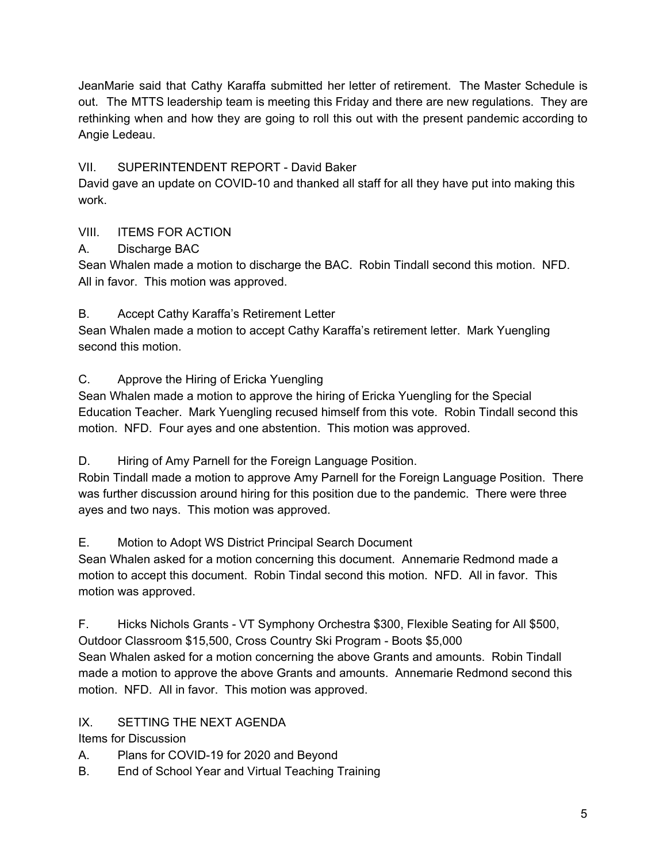JeanMarie said that Cathy Karaffa submitted her letter of retirement. The Master Schedule is out. The MTTS leadership team is meeting this Friday and there are new regulations. They are rethinking when and how they are going to roll this out with the present pandemic according to Angie Ledeau.

## VII. SUPERINTENDENT REPORT - David Baker

David gave an update on COVID-10 and thanked all staff for all they have put into making this work.

# VIII. ITEMS FOR ACTION

# A. Discharge BAC

Sean Whalen made a motion to discharge the BAC. Robin Tindall second this motion. NFD. All in favor. This motion was approved.

# B. Accept Cathy Karaffa's Retirement Letter

Sean Whalen made a motion to accept Cathy Karaffa's retirement letter. Mark Yuengling second this motion.

C. Approve the Hiring of Ericka Yuengling

Sean Whalen made a motion to approve the hiring of Ericka Yuengling for the Special Education Teacher. Mark Yuengling recused himself from this vote. Robin Tindall second this motion. NFD. Four ayes and one abstention. This motion was approved.

D. Hiring of Amy Parnell for the Foreign Language Position.

Robin Tindall made a motion to approve Amy Parnell for the Foreign Language Position. There was further discussion around hiring for this position due to the pandemic. There were three ayes and two nays. This motion was approved.

# E. Motion to Adopt WS District Principal Search Document

Sean Whalen asked for a motion concerning this document. Annemarie Redmond made a motion to accept this document. Robin Tindal second this motion. NFD. All in favor. This motion was approved.

F. Hicks Nichols Grants - VT Symphony Orchestra \$300, Flexible Seating for All \$500, Outdoor Classroom \$15,500, Cross Country Ski Program - Boots \$5,000 Sean Whalen asked for a motion concerning the above Grants and amounts. Robin Tindall made a motion to approve the above Grants and amounts. Annemarie Redmond second this motion. NFD. All in favor. This motion was approved.

# IX. SETTING THE NEXT AGENDA

Items for Discussion

A. Plans for COVID-19 for 2020 and Beyond

B. End of School Year and Virtual Teaching Training